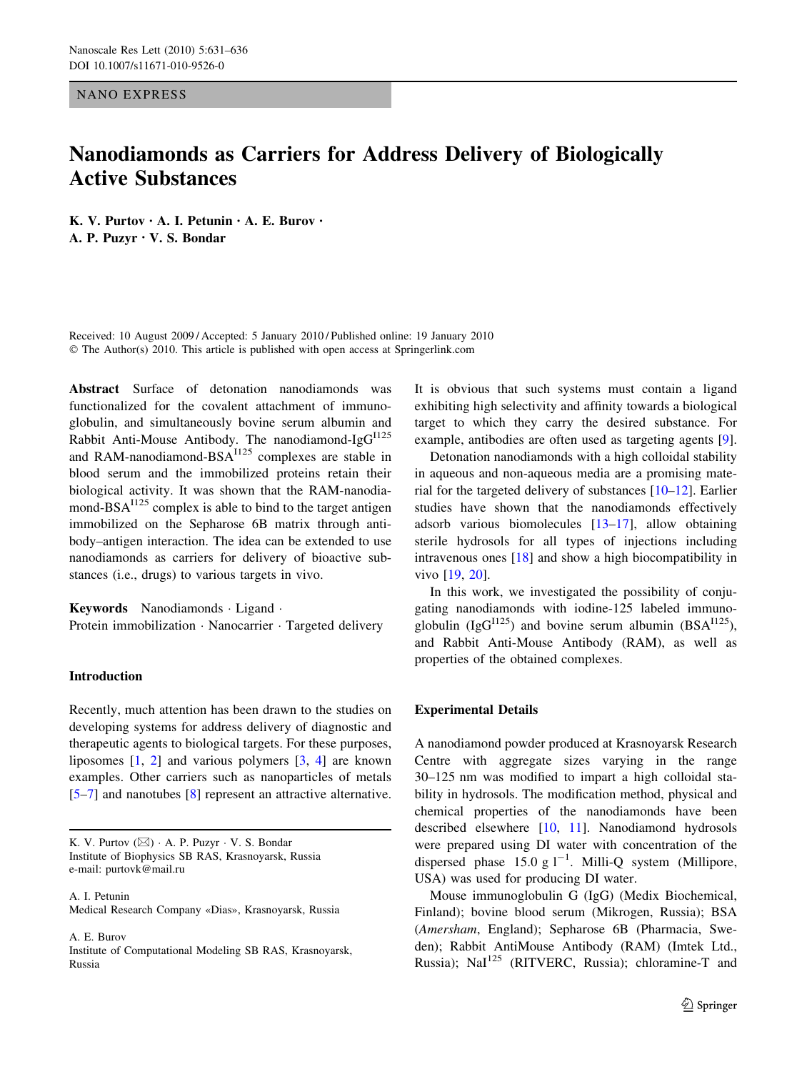NANO EXPRESS

# Nanodiamonds as Carriers for Address Delivery of Biologically Active Substances

K. V. Purtov • A. I. Petunin • A. E. Burov • A. P. Puzyr • V. S. Bondar

Received: 10 August 2009 / Accepted: 5 January 2010 / Published online: 19 January 2010  $\odot$  The Author(s) 2010. This article is published with open access at Springerlink.com

Abstract Surface of detonation nanodiamonds was functionalized for the covalent attachment of immunoglobulin, and simultaneously bovine serum albumin and Rabbit Anti-Mouse Antibody. The nanodiamond-Ig $G^{1125}$ and RAM-nanodiamond-BSA<sup>1125</sup> complexes are stable in blood serum and the immobilized proteins retain their biological activity. It was shown that the RAM-nanodiamond-BS $A^{1125}$  complex is able to bind to the target antigen immobilized on the Sepharose 6B matrix through antibody–antigen interaction. The idea can be extended to use nanodiamonds as carriers for delivery of bioactive substances (i.e., drugs) to various targets in vivo.

Keywords Nanodiamonds · Ligand · Protein immobilization · Nanocarrier · Targeted delivery

# Introduction

Recently, much attention has been drawn to the studies on developing systems for address delivery of diagnostic and therapeutic agents to biological targets. For these purposes, liposomes  $\begin{bmatrix} 1, 2 \end{bmatrix}$  and various polymers  $\begin{bmatrix} 3, 4 \end{bmatrix}$  $\begin{bmatrix} 3, 4 \end{bmatrix}$  $\begin{bmatrix} 3, 4 \end{bmatrix}$  are known examples. Other carriers such as nanoparticles of metals [\[5–7](#page-5-0)] and nanotubes [\[8](#page-5-0)] represent an attractive alternative.

A. I. Petunin Medical Research Company «Dias», Krasnoyarsk, Russia

A. E. Burov Institute of Computational Modeling SB RAS, Krasnoyarsk, Russia

It is obvious that such systems must contain a ligand exhibiting high selectivity and affinity towards a biological target to which they carry the desired substance. For example, antibodies are often used as targeting agents [\[9](#page-5-0)].

Detonation nanodiamonds with a high colloidal stability in aqueous and non-aqueous media are a promising material for the targeted delivery of substances [\[10–12](#page-5-0)]. Earlier studies have shown that the nanodiamonds effectively adsorb various biomolecules [[13–17\]](#page-5-0), allow obtaining sterile hydrosols for all types of injections including intravenous ones [[18\]](#page-5-0) and show a high biocompatibility in vivo [[19,](#page-5-0) [20](#page-5-0)].

In this work, we investigated the possibility of conjugating nanodiamonds with iodine-125 labeled immunoglobulin (IgG<sup>I125</sup>) and bovine serum albumin (BSA<sup>I125</sup>), and Rabbit Anti-Mouse Antibody (RAM), as well as properties of the obtained complexes.

# Experimental Details

A nanodiamond powder produced at Krasnoyarsk Research Centre with aggregate sizes varying in the range 30–125 nm was modified to impart a high colloidal stability in hydrosols. The modification method, physical and chemical properties of the nanodiamonds have been described elsewhere [[10,](#page-5-0) [11\]](#page-5-0). Nanodiamond hydrosols were prepared using DI water with concentration of the dispersed phase 15.0 g  $l^{-1}$ . Milli-Q system (Millipore, USA) was used for producing DI water.

Mouse immunoglobulin G (IgG) (Medix Biochemical, Finland); bovine blood serum (Mikrogen, Russia); BSA (Amersham, England); Sepharose 6B (Pharmacia, Sweden); Rabbit AntiMouse Antibody (RAM) (Imtek Ltd., Russia); NaI<sup>125</sup> (RITVERC, Russia); chloramine-T and

K. V. Purtov  $(\boxtimes)$   $\cdot$  A. P. Puzyr  $\cdot$  V. S. Bondar Institute of Biophysics SB RAS, Krasnoyarsk, Russia e-mail: purtovk@mail.ru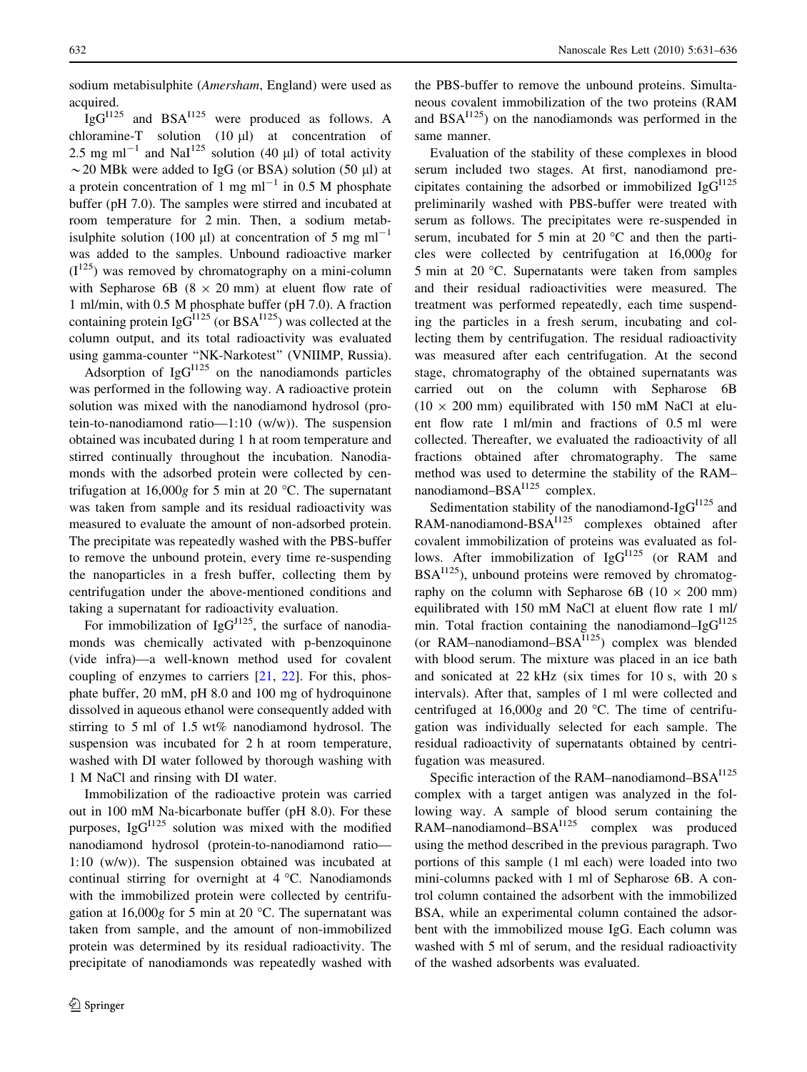sodium metabisulphite (Amersham, England) were used as acquired.

 $IgG^{1125}$  and BSA $^{1125}$  were produced as follows. A chloramine-T solution  $(10 \mu l)$  at concentration of 2.5 mg ml<sup>-1</sup> and NaI<sup>125</sup> solution (40 µl) of total activity  $\sim$  20 MBk were added to IgG (or BSA) solution (50 µl) at a protein concentration of 1 mg  $ml^{-1}$  in 0.5 M phosphate buffer (pH 7.0). The samples were stirred and incubated at room temperature for 2 min. Then, a sodium metabisulphite solution (100  $\mu$ ) at concentration of 5 mg ml<sup>-1</sup> was added to the samples. Unbound radioactive marker  $(I^{125})$  was removed by chromatography on a mini-column with Sepharose 6B ( $8 \times 20$  mm) at eluent flow rate of 1 ml/min, with 0.5 M phosphate buffer (pH 7.0). A fraction containing protein  $\lg G^{1125}$  (or BSA<sup>1125</sup>) was collected at the column output, and its total radioactivity was evaluated using gamma-counter ''NK-Narkotest'' (VNIIMP, Russia).

Adsorption of  $IgG<sup>1125</sup>$  on the nanodiamonds particles was performed in the following way. A radioactive protein solution was mixed with the nanodiamond hydrosol (protein-to-nanodiamond ratio—1:10 (w/w)). The suspension obtained was incubated during 1 h at room temperature and stirred continually throughout the incubation. Nanodiamonds with the adsorbed protein were collected by centrifugation at  $16,000g$  for 5 min at 20 °C. The supernatant was taken from sample and its residual radioactivity was measured to evaluate the amount of non-adsorbed protein. The precipitate was repeatedly washed with the PBS-buffer to remove the unbound protein, every time re-suspending the nanoparticles in a fresh buffer, collecting them by centrifugation under the above-mentioned conditions and taking a supernatant for radioactivity evaluation.

For immobilization of  $IgG^{J125}$ , the surface of nanodiamonds was chemically activated with p-benzoquinone (vide infra)—a well-known method used for covalent coupling of enzymes to carriers [\[21](#page-5-0), [22\]](#page-5-0). For this, phosphate buffer, 20 mM, pH 8.0 and 100 mg of hydroquinone dissolved in aqueous ethanol were consequently added with stirring to 5 ml of 1.5 wt% nanodiamond hydrosol. The suspension was incubated for 2 h at room temperature, washed with DI water followed by thorough washing with 1 M NaCl and rinsing with DI water.

Immobilization of the radioactive protein was carried out in 100 mM Na-bicarbonate buffer (pH 8.0). For these purposes,  $I gG^{1125}$  solution was mixed with the modified nanodiamond hydrosol (protein-to-nanodiamond ratio— 1:10 (w/w)). The suspension obtained was incubated at continual stirring for overnight at  $4^{\circ}$ C. Nanodiamonds with the immobilized protein were collected by centrifugation at  $16,000g$  for 5 min at 20 °C. The supernatant was taken from sample, and the amount of non-immobilized protein was determined by its residual radioactivity. The precipitate of nanodiamonds was repeatedly washed with

the PBS-buffer to remove the unbound proteins. Simultaneous covalent immobilization of the two proteins (RAM and  $BSA<sup>1125</sup>$  on the nanodiamonds was performed in the same manner.

Evaluation of the stability of these complexes in blood serum included two stages. At first, nanodiamond precipitates containing the adsorbed or immobilized  $IgG<sup>1125</sup>$ preliminarily washed with PBS-buffer were treated with serum as follows. The precipitates were re-suspended in serum, incubated for 5 min at 20  $^{\circ}$ C and then the particles were collected by centrifugation at 16,000g for 5 min at 20  $\degree$ C. Supernatants were taken from samples and their residual radioactivities were measured. The treatment was performed repeatedly, each time suspending the particles in a fresh serum, incubating and collecting them by centrifugation. The residual radioactivity was measured after each centrifugation. At the second stage, chromatography of the obtained supernatants was carried out on the column with Sepharose 6B  $(10 \times 200 \text{ mm})$  equilibrated with 150 mM NaCl at eluent flow rate 1 ml/min and fractions of 0.5 ml were collected. Thereafter, we evaluated the radioactivity of all fractions obtained after chromatography. The same method was used to determine the stability of the RAM– nanodiamond– $BSA<sup>1125</sup>$  complex.

Sedimentation stability of the nanodiamond-Ig $G^{1125}$  and RAM-nanodiamond-BSA<sup>I125</sup> complexes obtained after covalent immobilization of proteins was evaluated as follows. After immobilization of  $IgG<sup>1125</sup>$  (or RAM and  $BSA<sup>1125</sup>$ , unbound proteins were removed by chromatography on the column with Sepharose 6B ( $10 \times 200$  mm) equilibrated with 150 mM NaCl at eluent flow rate 1 ml/ min. Total fraction containing the nanodiamond–Ig $G<sup>1125</sup>$ (or RAM–nanodiamond–BS $A^{1125}$ ) complex was blended with blood serum. The mixture was placed in an ice bath and sonicated at 22 kHz (six times for 10 s, with 20 s intervals). After that, samples of 1 ml were collected and centrifuged at  $16,000g$  and  $20^{\circ}$ C. The time of centrifugation was individually selected for each sample. The residual radioactivity of supernatants obtained by centrifugation was measured.

Specific interaction of the RAM–nanodiamond–BS $A^{1125}$ complex with a target antigen was analyzed in the following way. A sample of blood serum containing the RAM–nanodiamond–BSA<sup>I125</sup> complex was produced using the method described in the previous paragraph. Two portions of this sample (1 ml each) were loaded into two mini-columns packed with 1 ml of Sepharose 6B. A control column contained the adsorbent with the immobilized BSA, while an experimental column contained the adsorbent with the immobilized mouse IgG. Each column was washed with 5 ml of serum, and the residual radioactivity of the washed adsorbents was evaluated.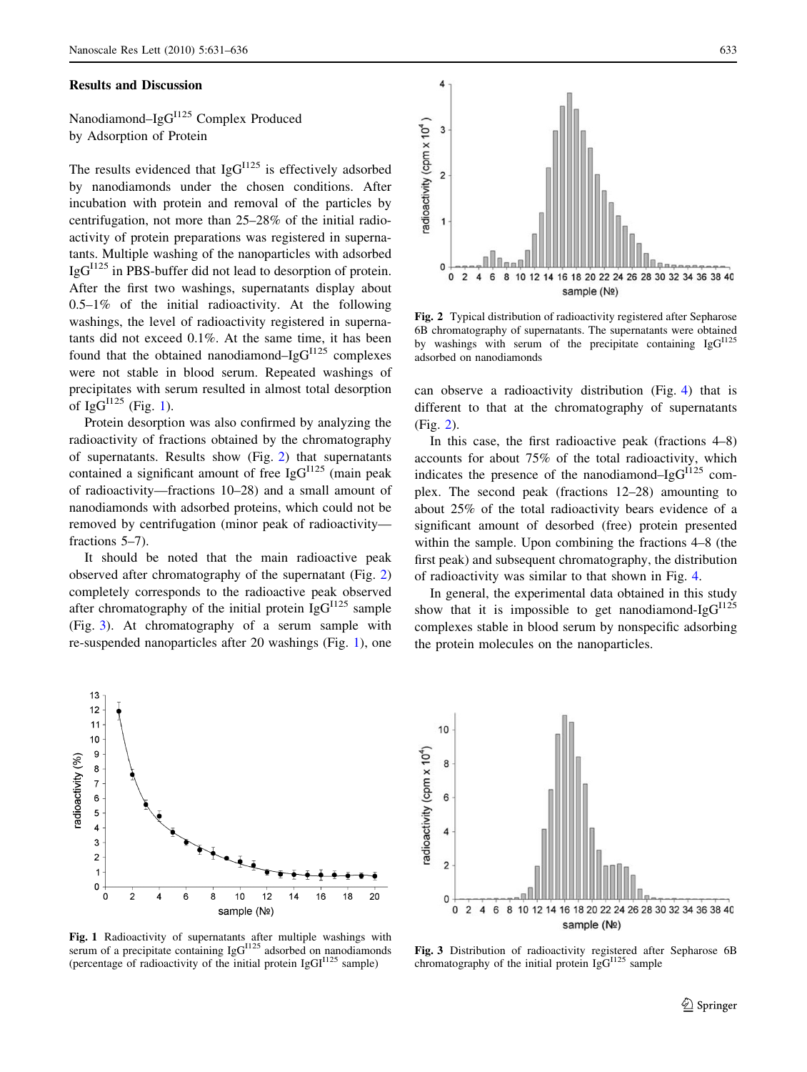#### Results and Discussion

Nanodiamond–IgG<sup>I125</sup> Complex Produced by Adsorption of Protein

The results evidenced that  $IgG<sup>1125</sup>$  is effectively adsorbed by nanodiamonds under the chosen conditions. After incubation with protein and removal of the particles by centrifugation, not more than 25–28% of the initial radioactivity of protein preparations was registered in supernatants. Multiple washing of the nanoparticles with adsorbed  $IgG<sup>II25</sup>$  in PBS-buffer did not lead to desorption of protein. After the first two washings, supernatants display about  $0.5-1\%$  of the initial radioactivity. At the following washings, the level of radioactivity registered in supernatants did not exceed 0.1%. At the same time, it has been found that the obtained nanodiamond–Ig $G<sup>1125</sup>$  complexes were not stable in blood serum. Repeated washings of precipitates with serum resulted in almost total desorption of  $IgG^{1125}$  (Fig. 1).

Protein desorption was also confirmed by analyzing the radioactivity of fractions obtained by the chromatography of supernatants. Results show (Fig. 2) that supernatants contained a significant amount of free  $IgG<sup>1125</sup>$  (main peak of radioactivity—fractions 10–28) and a small amount of nanodiamonds with adsorbed proteins, which could not be removed by centrifugation (minor peak of radioactivity fractions 5–7).

It should be noted that the main radioactive peak observed after chromatography of the supernatant (Fig. 2) completely corresponds to the radioactive peak observed after chromatography of the initial protein  $IgG<sup>1125</sup>$  sample (Fig. 3). At chromatography of a serum sample with re-suspended nanoparticles after 20 washings (Fig. 1), one



Fig. 2 Typical distribution of radioactivity registered after Sepharose 6B chromatography of supernatants. The supernatants were obtained by washings with serum of the precipitate containing  $\text{IgG}^{1125}$ adsorbed on nanodiamonds

can observe a radioactivity distribution (Fig. [4\)](#page-3-0) that is different to that at the chromatography of supernatants (Fig. 2).

In this case, the first radioactive peak (fractions 4–8) accounts for about 75% of the total radioactivity, which indicates the presence of the nanodiamond–Ig $G^{1125}$  complex. The second peak (fractions 12–28) amounting to about 25% of the total radioactivity bears evidence of a significant amount of desorbed (free) protein presented within the sample. Upon combining the fractions 4–8 (the first peak) and subsequent chromatography, the distribution of radioactivity was similar to that shown in Fig. [4.](#page-3-0)

In general, the experimental data obtained in this study show that it is impossible to get nanodiamond-Ig $G^{1125}$ complexes stable in blood serum by nonspecific adsorbing the protein molecules on the nanoparticles.



Fig. 1 Radioactivity of supernatants after multiple washings with serum of a precipitate containing IgG<sup>1125</sup> adsorbed on nanodiamonds (percentage of radioactivity of the initial protein  $IgGI^{1125}$  sample)



Fig. 3 Distribution of radioactivity registered after Sepharose 6B chromatography of the initial protein  $IgG^{1125}$  sample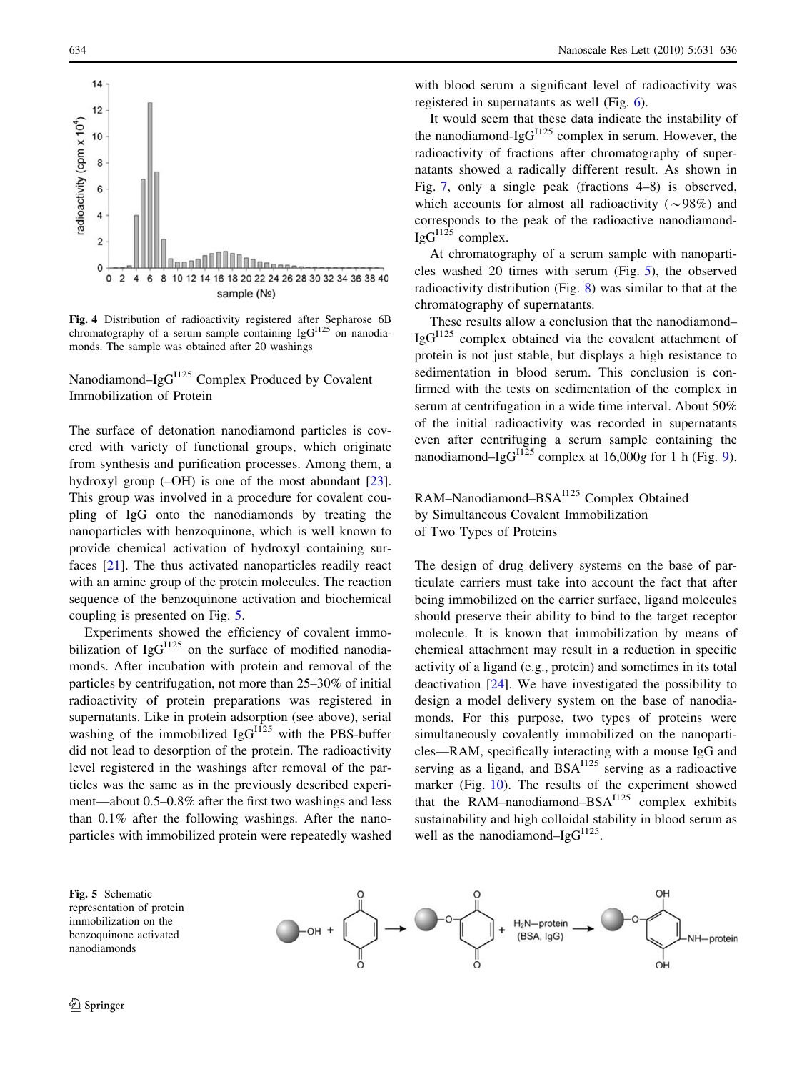

Fig. 4 Distribution of radioactivity registered after Sepharose 6B chromatography of a serum sample containing Ig $G^{1125}$  on nanodiamonds. The sample was obtained after 20 washings

Nanodiamond–IgG<sup>I125</sup> Complex Produced by Covalent Immobilization of Protein

The surface of detonation nanodiamond particles is covered with variety of functional groups, which originate from synthesis and purification processes. Among them, a hydroxyl group (–OH) is one of the most abundant [\[23](#page-5-0)]. This group was involved in a procedure for covalent coupling of IgG onto the nanodiamonds by treating the nanoparticles with benzoquinone, which is well known to provide chemical activation of hydroxyl containing surfaces [\[21](#page-5-0)]. The thus activated nanoparticles readily react with an amine group of the protein molecules. The reaction sequence of the benzoquinone activation and biochemical coupling is presented on Fig. 5.

Experiments showed the efficiency of covalent immobilization of  $IgG<sup>1125</sup>$  on the surface of modified nanodiamonds. After incubation with protein and removal of the particles by centrifugation, not more than 25–30% of initial radioactivity of protein preparations was registered in supernatants. Like in protein adsorption (see above), serial washing of the immobilized  $\text{IgG}^{\text{II25}}$  with the PBS-buffer did not lead to desorption of the protein. The radioactivity level registered in the washings after removal of the particles was the same as in the previously described experiment—about 0.5–0.8% after the first two washings and less than 0.1% after the following washings. After the nanoparticles with immobilized protein were repeatedly washed

<span id="page-3-0"></span>634 Nanoscale Res Lett (2010) 5:631–636

with blood serum a significant level of radioactivity was registered in supernatants as well (Fig. [6](#page-4-0)).

It would seem that these data indicate the instability of the nanodiamond-Ig $G^{1125}$  complex in serum. However, the radioactivity of fractions after chromatography of supernatants showed a radically different result. As shown in Fig. [7](#page-4-0), only a single peak (fractions 4–8) is observed, which accounts for almost all radioactivity ( $\sim$ 98%) and corresponds to the peak of the radioactive nanodiamond- $IgG^{1125}$  complex.

At chromatography of a serum sample with nanoparticles washed 20 times with serum (Fig. 5), the observed radioactivity distribution (Fig. [8\)](#page-4-0) was similar to that at the chromatography of supernatants.

These results allow a conclusion that the nanodiamond–  $IgG<sup>1125</sup>$  complex obtained via the covalent attachment of protein is not just stable, but displays a high resistance to sedimentation in blood serum. This conclusion is confirmed with the tests on sedimentation of the complex in serum at centrifugation in a wide time interval. About 50% of the initial radioactivity was recorded in supernatants even after centrifuging a serum sample containing the nanodiamond–Ig $G<sup>1125</sup>$  complex at 16,000g for 1 h (Fig. [9](#page-4-0)).

RAM–Nanodiamond–BSAI125 Complex Obtained by Simultaneous Covalent Immobilization of Two Types of Proteins

The design of drug delivery systems on the base of particulate carriers must take into account the fact that after being immobilized on the carrier surface, ligand molecules should preserve their ability to bind to the target receptor molecule. It is known that immobilization by means of chemical attachment may result in a reduction in specific activity of a ligand (e.g., protein) and sometimes in its total deactivation [\[24](#page-5-0)]. We have investigated the possibility to design a model delivery system on the base of nanodiamonds. For this purpose, two types of proteins were simultaneously covalently immobilized on the nanoparticles—RAM, specifically interacting with a mouse IgG and serving as a ligand, and BSA<sup>1125</sup> serving as a radioactive marker (Fig. [10\)](#page-4-0). The results of the experiment showed that the RAM–nanodiamond–BS $A^{1125}$  complex exhibits sustainability and high colloidal stability in blood serum as well as the nanodiamond–Ig $G^{1125}$ .

Fig. 5 Schematic representation of protein immobilization on the benzoquinone activated nanodiamonds

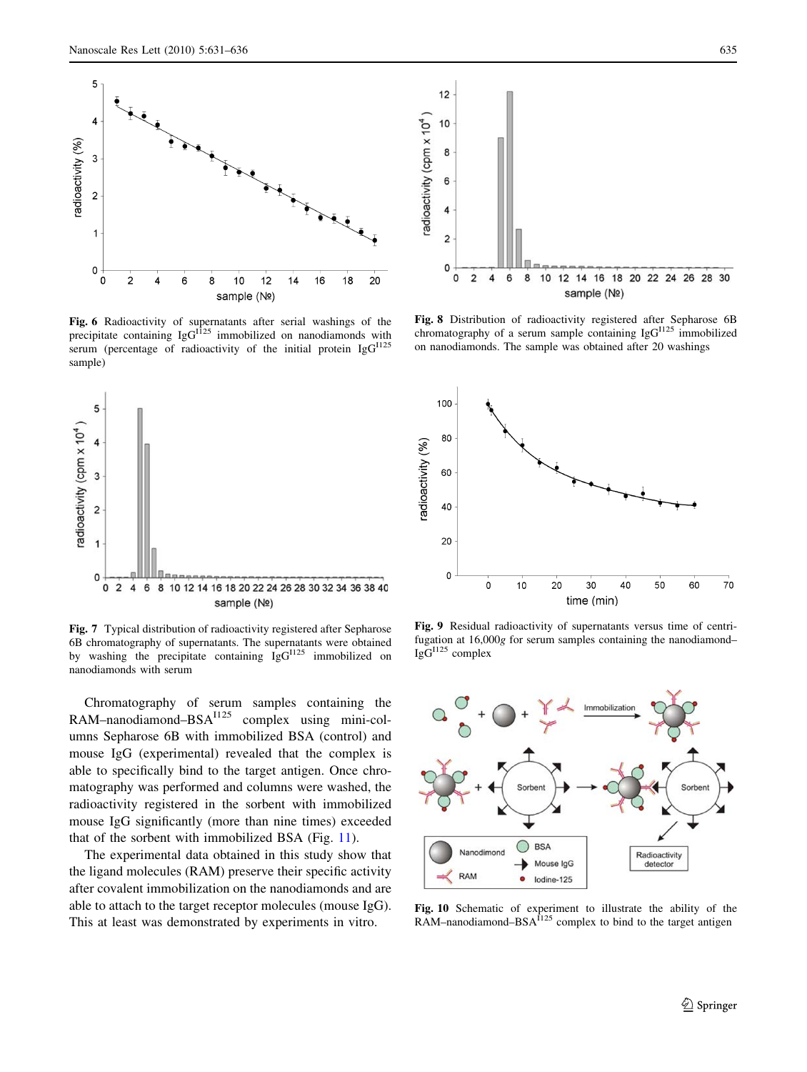<span id="page-4-0"></span>

**Fig. 6** Radioactivity of supernatants after serial washings of the precipitate containing  $\lg G^{1125}$  immobilized on nanodiamonds with serum (percentage of radioactivity of the initial protein IgG<sup>I125</sup> sample)



Fig. 7 Typical distribution of radioactivity registered after Sepharose 6B chromatography of supernatants. The supernatants were obtained by washing the precipitate containing IgG<sup>I125</sup> immobilized on nanodiamonds with serum

Chromatography of serum samples containing the RAM–nanodiamond–BSA<sup>I125</sup> complex using mini-columns Sepharose 6B with immobilized BSA (control) and mouse IgG (experimental) revealed that the complex is able to specifically bind to the target antigen. Once chromatography was performed and columns were washed, the radioactivity registered in the sorbent with immobilized mouse IgG significantly (more than nine times) exceeded that of the sorbent with immobilized BSA (Fig. [11\)](#page-5-0).

The experimental data obtained in this study show that the ligand molecules (RAM) preserve their specific activity after covalent immobilization on the nanodiamonds and are able to attach to the target receptor molecules (mouse IgG). This at least was demonstrated by experiments in vitro.



Fig. 8 Distribution of radioactivity registered after Sepharose 6B chromatography of a serum sample containing Ig $G<sup>1125</sup>$  immobilized on nanodiamonds. The sample was obtained after 20 washings



Fig. 9 Residual radioactivity of supernatants versus time of centrifugation at 16,000g for serum samples containing the nanodiamond–  $IgG^{1125}$  complex



Fig. 10 Schematic of experiment to illustrate the ability of the RAM–nanodiamond–BSA<sup>1125</sup> complex to bind to the target antigen